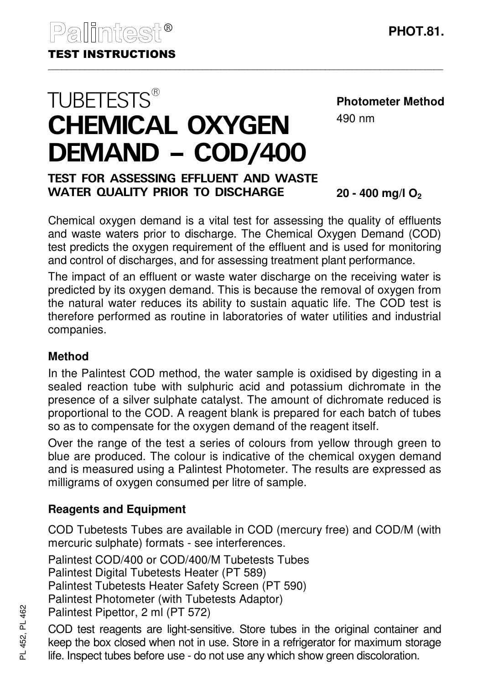**TUBETESTS®** 

## **Photometer Method**

490 nm

# TEST FOR ASSESSING EFFLUENT AND WASTE WATER QUALITY PRIOR TO DISCHARGE

DEMAND – COD/400

CHEMICAL OXYGEN

**20 - 400 mg/l O<sup>2</sup>**

Chemical oxygen demand is a vital test for assessing the quality of effluents and waste waters prior to discharge. The Chemical Oxygen Demand (COD) test predicts the oxygen requirement of the effluent and is used for monitoring and control of discharges, and for assessing treatment plant performance.

The impact of an effluent or waste water discharge on the receiving water is predicted by its oxygen demand. This is because the removal of oxygen from the natural water reduces its ability to sustain aquatic life. The COD test is therefore performed as routine in laboratories of water utilities and industrial companies.

#### **Method**

In the Palintest COD method, the water sample is oxidised by digesting in a sealed reaction tube with sulphuric acid and potassium dichromate in the presence of a silver sulphate catalyst. The amount of dichromate reduced is proportional to the COD. A reagent blank is prepared for each batch of tubes so as to compensate for the oxygen demand of the reagent itself.

Over the range of the test a series of colours from yellow through green to blue are produced. The colour is indicative of the chemical oxygen demand and is measured using a Palintest Photometer. The results are expressed as milligrams of oxygen consumed per litre of sample.

## **Reagents and Equipment**

COD Tubetests Tubes are available in COD (mercury free) and COD/M (with mercuric sulphate) formats - see interferences.

Palintest COD/400 or COD/400/M Tubetests Tubes

Palintest Digital Tubetests Heater (PT 589)

Palintest Tubetests Heater Safety Screen (PT 590)

Palintest Photometer (with Tubetests Adaptor)

Palintest Pipettor, 2 ml (PT 572)

COD test reagents are light-sensitive. Store tubes in the original container and keep the box closed when not in use. Store in a refrigerator for maximum storage life. Inspect tubes before use - do not use any which show green discoloration.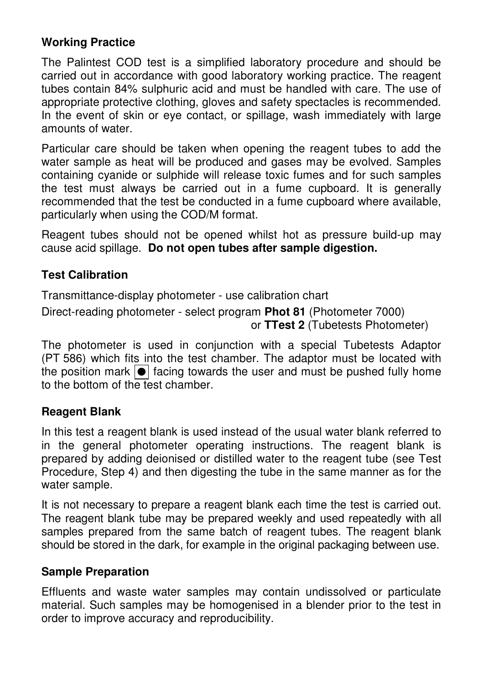## **Working Practice**

The Palintest COD test is a simplified laboratory procedure and should be carried out in accordance with good laboratory working practice. The reagent tubes contain 84% sulphuric acid and must be handled with care. The use of appropriate protective clothing, gloves and safety spectacles is recommended. In the event of skin or eye contact, or spillage, wash immediately with large amounts of water.

Particular care should be taken when opening the reagent tubes to add the water sample as heat will be produced and gases may be evolved. Samples containing cyanide or sulphide will release toxic fumes and for such samples the test must always be carried out in a fume cupboard. It is generally recommended that the test be conducted in a fume cupboard where available, particularly when using the COD/M format.

Reagent tubes should not be opened whilst hot as pressure build-up may cause acid spillage. **Do not open tubes after sample digestion.**

## **Test Calibration**

Transmittance-display photometer - use calibration chart

Direct-reading photometer - select program **Phot 81** (Photometer 7000) or **TTest 2** (Tubetests Photometer)

The photometer is used in conjunction with a special Tubetests Adaptor (PT 586) which fits into the test chamber. The adaptor must be located with the position mark  $\boxed{\bullet}$  facing towards the user and must be pushed fully home to the bottom of the test chamber.

## **Reagent Blank**

In this test a reagent blank is used instead of the usual water blank referred to in the general photometer operating instructions. The reagent blank is prepared by adding deionised or distilled water to the reagent tube (see Test Procedure, Step 4) and then digesting the tube in the same manner as for the water sample.

It is not necessary to prepare a reagent blank each time the test is carried out. The reagent blank tube may be prepared weekly and used repeatedly with all samples prepared from the same batch of reagent tubes. The reagent blank should be stored in the dark, for example in the original packaging between use.

#### **Sample Preparation**

Effluents and waste water samples may contain undissolved or particulate material. Such samples may be homogenised in a blender prior to the test in order to improve accuracy and reproducibility.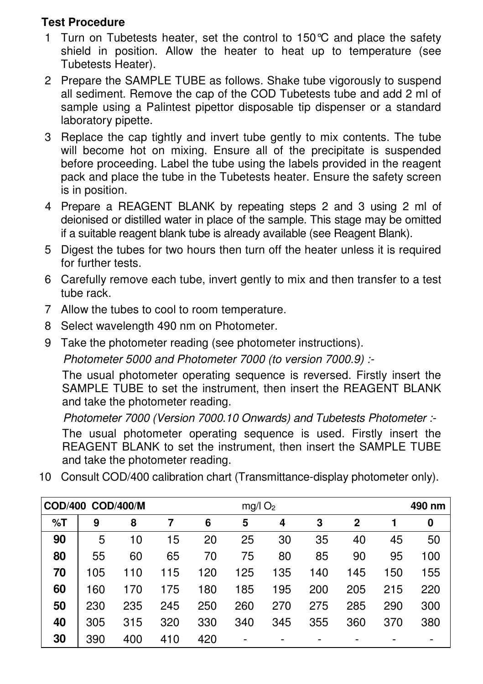## **Test Procedure**

- 1 Turn on Tubetests heater, set the control to 150°C and place the safety shield in position. Allow the heater to heat up to temperature (see Tubetests Heater).
- 2 Prepare the SAMPLE TUBE as follows. Shake tube vigorously to suspend all sediment. Remove the cap of the COD Tubetests tube and add 2 ml of sample using a Palintest pipettor disposable tip dispenser or a standard laboratory pipette.
- 3 Replace the cap tightly and invert tube gently to mix contents. The tube will become hot on mixing. Ensure all of the precipitate is suspended before proceeding. Label the tube using the labels provided in the reagent pack and place the tube in the Tubetests heater. Ensure the safety screen is in position.
- 4 Prepare a REAGENT BLANK by repeating steps 2 and 3 using 2 ml of deionised or distilled water in place of the sample. This stage may be omitted if a suitable reagent blank tube is already available (see Reagent Blank).
- 5 Digest the tubes for two hours then turn off the heater unless it is required for further tests.
- 6 Carefully remove each tube, invert gently to mix and then transfer to a test tube rack.
- 7 Allow the tubes to cool to room temperature.
- 8 Select wavelength 490 nm on Photometer.
- 9 Take the photometer reading (see photometer instructions).

Photometer 5000 and Photometer 7000 (to version 7000.9) :-

The usual photometer operating sequence is reversed. Firstly insert the SAMPLE TUBE to set the instrument, then insert the REAGENT BLANK and take the photometer reading.

Photometer 7000 (Version 7000.10 Onwards) and Tubetests Photometer :-

The usual photometer operating sequence is used. Firstly insert the REAGENT BLANK to set the instrument, then insert the SAMPLE TUBE and take the photometer reading.

|    | COD/400 COD/400/M |     |     | $mg/l$ O <sub>2</sub> |     |     |     |              |     | 490 nm |  |
|----|-------------------|-----|-----|-----------------------|-----|-----|-----|--------------|-----|--------|--|
| %T | 9                 | 8   | 7   | 6                     | 5   | 4   | 3   | $\mathbf{2}$ |     | 0      |  |
| 90 | 5                 | 10  | 15  | 20                    | 25  | 30  | 35  | 40           | 45  | 50     |  |
| 80 | 55                | 60  | 65  | 70                    | 75  | 80  | 85  | 90           | 95  | 100    |  |
| 70 | 105               | 110 | 115 | 120                   | 125 | 135 | 140 | 145          | 150 | 155    |  |
| 60 | 160               | 170 | 175 | 180                   | 185 | 195 | 200 | 205          | 215 | 220    |  |
| 50 | 230               | 235 | 245 | 250                   | 260 | 270 | 275 | 285          | 290 | 300    |  |
| 40 | 305               | 315 | 320 | 330                   | 340 | 345 | 355 | 360          | 370 | 380    |  |
| 30 | 390               | 400 | 410 | 420                   |     |     |     |              |     |        |  |

10 Consult COD/400 calibration chart (Transmittance-display photometer only).